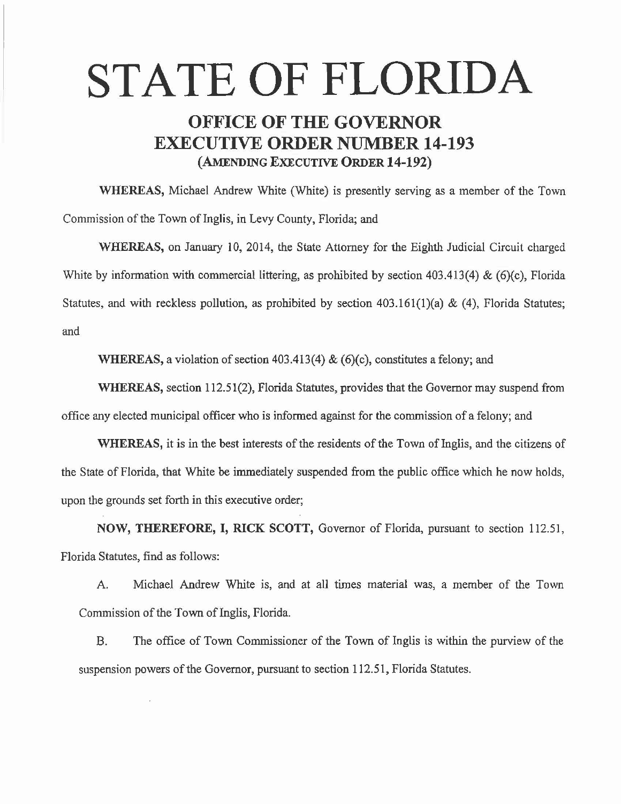# STATE OF FLORIDA

## OFFICE OF THE GOVERNOR EXECUTIVE ORDER NUMBER 14-193 (AMENDING EXECUTIVE ORDER 14-192)

WHEREAS, Michael Andrew White (White) is presently serving as a member of the Town Commission of the Town of Inglis, in Levy County, Florida; and

WHEREAS, on January 10, 2014, the State Attorney for the Eighth Judicial Circuit charged White by information with commercial littering, as prohibited by section 403.413(4) & (6)(c), Florida Statutes, and with reckless pollution, as prohibited by section  $403.161(1)(a) \& (4)$ , Florida Statutes; and

WHEREAS, a violation of section 403.413(4) & (6)(c), constitutes a felony; and

WHEREAS, section 112.51(2), Florida Statutes, provides that the Governor may suspend from office any elected municipal officer who is informed against for the commission of a felony; and

WHEREAS, it is in the best interests of the residents of the Town of Inglis, and the citizens of the State of Florida, that White be immediately suspended from the public office which he now holds, upon the grounds set forth in this executive order;

NOW, THEREFORE, I, RICK SCOTT, Governor of Florida, pursuant to section 112.51, Florida Statutes, find as follows:

A. Michael Andrew White is, and at all times material was, a member of the Town Commission of the Town of Inglis, Florida.

B. The office of Town Commissioner of the Town of Inglis is within the purview of the suspension powers of the Governor, pursuant to section 112.51, Florida Statutes.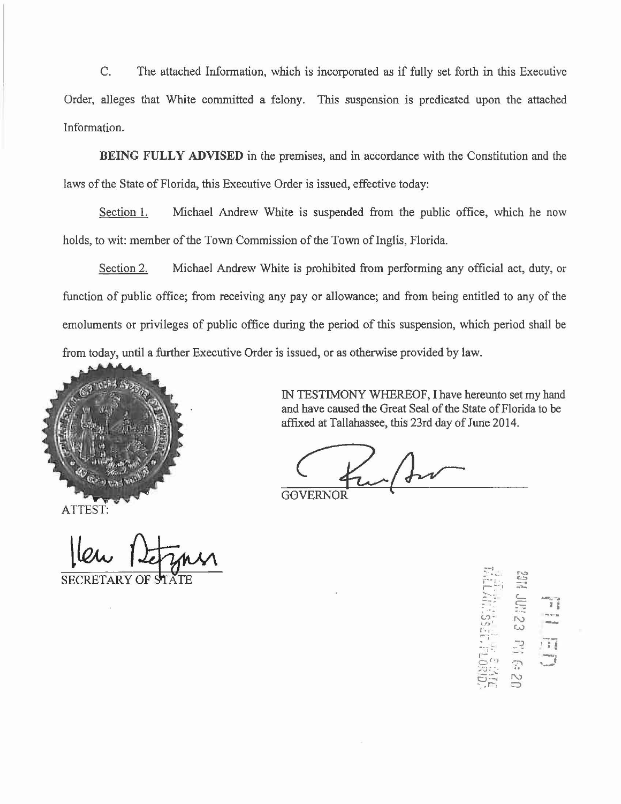C. The attached Information, which is incorporated as if fully set forth in this Executive Order, alleges that White committed a felony. This suspension is predicated upon the attached Information.

**BEING FULLY ADVISED** in the premises, and in accordance with the Constitution and the laws of the State of Florida, this Executive Order is issued, effective today:

Section 1. Michael Andrew White is suspended from the public office, which he now holds, to wit: member of the Town Commission of the Town of Inglis, Florida.

Section 2. Michael Andrew White is prohibited from performing any official act, duty, or function of public office; from receiving any pay or allowance; and from being entitled to any of the emoluments or privileges of public office during the period of this suspension, which period shall be from today, until a further Executive Order is issued, or as otherwise provided by law.



ATTEST:

**SECRETARY OF** 

IN TESTIMONY WHEREOF, I have hereunto set my hand and have caused the Great Seal of the State of Florida to be affixed at Tallahassee, this 23rd day of June 2014.

 $\sum_{i=1}^{n-1}$  . ~<br>{}  $-1.48$ ::: e. m *:* .. - : *i* . .: . I  $\mathcal{C}$  $\frac{1}{2}$ **r.** <sup>I</sup>  $\frac{1}{n}$ **i**   $\mathcal{E}$ partners and we J ·- **--;1** . .7.'.! <sup>I</sup> <sup>~</sup>[ -: •• ··-  $\frac{1}{2}$   $\frac{1}{2}$   $\frac{1}{2}$  $\begin{array}{cc} \Xi \Xi_1^{\prime\prime} & \Xi_2^{\prime\prime} \ \Xi_2^{\prime\prime} & \sim \end{array}$ ' .r., 0<br>' .r., 0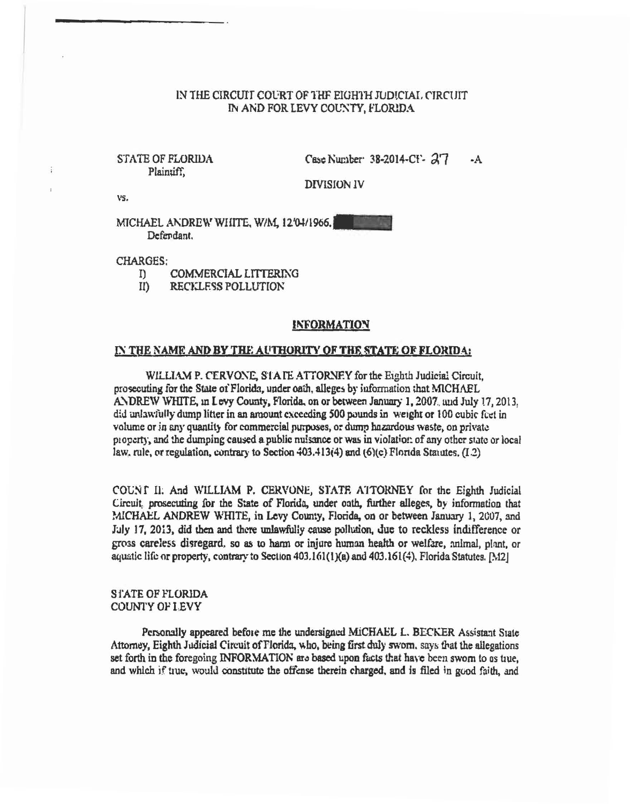### IN THE CIRCUIT COURT OF THE EIGHTH JUDICIAL CIRCUIT IN AND FOR LEVY COUNTY, FLORIDA

### **STATE OF FLORIDA** Plaintiff.

Case Number 38-2014-CF- 27  $-A$ 

**DIVISION IV** 

VS.

÷

MICHAEL ANDREW WHITE, W/M, 12'04/1966, Defendant.

**CHARGES:** 

- $\Gamma$ **COMMERCIAL LITTERING**
- $I$ ( RECKLESS POLLUTION

#### **INFORMATION**

#### IN THE NAME AND BY THE AUTHORITY OF THE STATE OF FLORIDA:

WILLIAM P. CERVONE, STATE ATTORNEY for the Eighth Judicial Circuit. prosecuting for the State of Florida, under oath, alleges by information that MICHAEL ANDREW WHITE, in Levy County, Florida, on or between January 1, 2007, and July 17, 2013. did unlawfully dump litter in an amount exceeding 500 pounds in weight or 100 cubic feet in volume or in any quantity for commercial purposes, or dump hazardous waste, on private property, and the dumping caused a public nulsance or was in violation of any other state or local law, rule, or regulation, contrary to Section 403.413(4) and (6)(c) Florida Statutes, (I.2)

COUNT II: And WILLIAM P. CERVONE, STATE ATTORNEY for the Eighth Judicial Circuit, prosecuting for the State of Florida, under oath, further alleges, by information that MICHAEL ANDREW WHITE, in Levy County, Florida, on or between January 1, 2007, and July 17, 2013, did then and there unlawfully cause pollution, due to reckless indifference or gross careless disregard, so as to harm or injure human health or welfare, animal, plant, or aquatic life or property, contrary to Section 403.161(1)(a) and 403.161(4), Florida Statutes, [M2]

#### **STATE OF FLORIDA COUNTY OF LEVY**

Personally appeared before me the undersigned MICHAEL L. BECKER Assistant State Attorney, Eighth Judicial Circuit of Florida, who, being first duly sworn, says that the allegations set forth in the foregoing INFORMATION are based upon facts that have been swom to us tiue, and which if true, would constitute the offense therein charged, and is filed in good faith, and